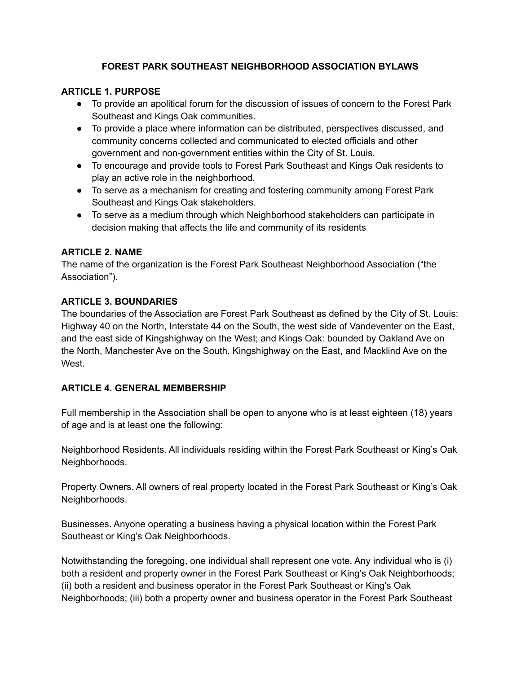### **FOREST PARK SOUTHEAST NEIGHBORHOOD ASSOCIATION BYLAWS**

#### **ARTICLE 1. PURPOSE**

- To provide an apolitical forum for the discussion of issues of concern to the Forest Park Southeast and Kings Oak communities.
- To provide a place where information can be distributed, perspectives discussed, and community concerns collected and communicated to elected officials and other government and non-government entities within the City of St. Louis.
- To encourage and provide tools to Forest Park Southeast and Kings Oak residents to play an active role in the neighborhood.
- To serve as a mechanism for creating and fostering community among Forest Park Southeast and Kings Oak stakeholders.
- To serve as a medium through which Neighborhood stakeholders can participate in decision making that affects the life and community of its residents

#### **ARTICLE 2. NAME**

The name of the organization is the Forest Park Southeast Neighborhood Association ("the Association").

### **ARTICLE 3. BOUNDARIES**

The boundaries of the Association are Forest Park Southeast as defined by the City of St. Louis: Highway 40 on the North, Interstate 44 on the South, the west side of Vandeventer on the East, and the east side of Kingshighway on the West; and Kings Oak: bounded by Oakland Ave on the North, Manchester Ave on the South, Kingshighway on the East, and Macklind Ave on the West.

### **ARTICLE 4. GENERAL MEMBERSHIP**

Full membership in the Association shall be open to anyone who is at least eighteen (18) years of age and is at least one the following:

Neighborhood Residents. All individuals residing within the Forest Park Southeast or King's Oak Neighborhoods.

Property Owners. All owners of real property located in the Forest Park Southeast or King's Oak Neighborhoods.

Businesses. Anyone operating a business having a physical location within the Forest Park Southeast or King's Oak Neighborhoods.

Notwithstanding the foregoing, one individual shall represent one vote. Any individual who is (i) both a resident and property owner in the Forest Park Southeast or King's Oak Neighborhoods; (ii) both a resident and business operator in the Forest Park Southeast or King's Oak Neighborhoods; (iii) both a property owner and business operator in the Forest Park Southeast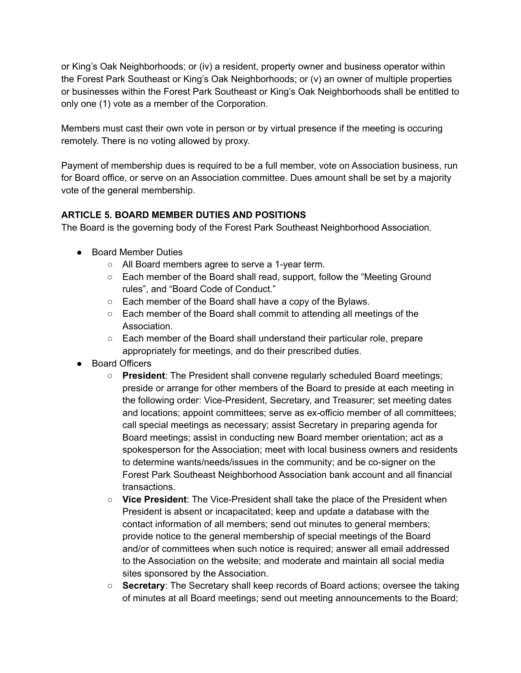or King's Oak Neighborhoods; or (iv) a resident, property owner and business operator within the Forest Park Southeast or King's Oak Neighborhoods; or (v) an owner of multiple properties or businesses within the Forest Park Southeast or King's Oak Neighborhoods shall be entitled to only one (1) vote as a member of the Corporation.

Members must cast their own vote in person or by virtual presence if the meeting is occuring remotely. There is no voting allowed by proxy.

Payment of membership dues is required to be a full member, vote on Association business, run for Board office, or serve on an Association committee. Dues amount shall be set by a majority vote of the general membership.

## **ARTICLE 5. BOARD MEMBER DUTIES AND POSITIONS**

The Board is the governing body of the Forest Park Southeast Neighborhood Association.

- Board Member Duties
	- All Board members agree to serve a 1-year term.
	- Each member of the Board shall read, support, follow the "Meeting Ground rules", and "Board Code of Conduct."
	- Each member of the Board shall have a copy of the Bylaws.
	- Each member of the Board shall commit to attending all meetings of the Association.
	- Each member of the Board shall understand their particular role, prepare appropriately for meetings, and do their prescribed duties.
- Board Officers
	- **President**: The President shall convene regularly scheduled Board meetings; preside or arrange for other members of the Board to preside at each meeting in the following order: Vice-President, Secretary, and Treasurer; set meeting dates and locations; appoint committees; serve as ex-officio member of all committees; call special meetings as necessary; assist Secretary in preparing agenda for Board meetings; assist in conducting new Board member orientation; act as a spokesperson for the Association; meet with local business owners and residents to determine wants/needs/issues in the community; and be co-signer on the Forest Park Southeast Neighborhood Association bank account and all financial transactions.
	- **Vice President**: The Vice-President shall take the place of the President when President is absent or incapacitated; keep and update a database with the contact information of all members; send out minutes to general members; provide notice to the general membership of special meetings of the Board and/or of committees when such notice is required; answer all email addressed to the Association on the website; and moderate and maintain all social media sites sponsored by the Association.
	- **Secretary**: The Secretary shall keep records of Board actions; oversee the taking of minutes at all Board meetings; send out meeting announcements to the Board;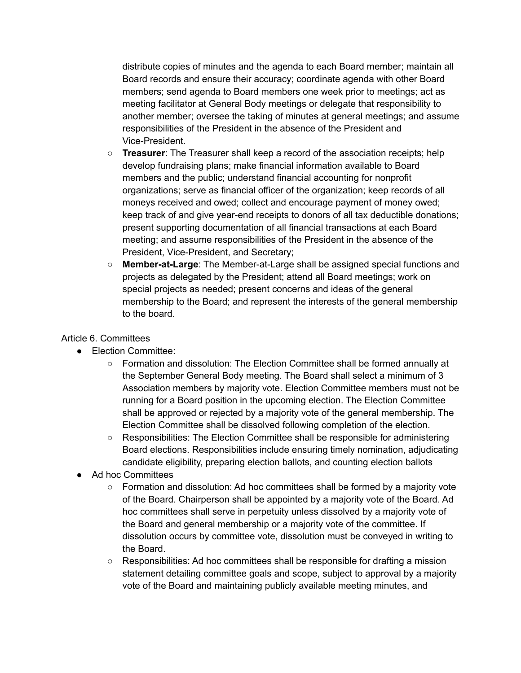distribute copies of minutes and the agenda to each Board member; maintain all Board records and ensure their accuracy; coordinate agenda with other Board members; send agenda to Board members one week prior to meetings; act as meeting facilitator at General Body meetings or delegate that responsibility to another member; oversee the taking of minutes at general meetings; and assume responsibilities of the President in the absence of the President and Vice-President.

- **Treasurer**: The Treasurer shall keep a record of the association receipts; help develop fundraising plans; make financial information available to Board members and the public; understand financial accounting for nonprofit organizations; serve as financial officer of the organization; keep records of all moneys received and owed; collect and encourage payment of money owed; keep track of and give year-end receipts to donors of all tax deductible donations; present supporting documentation of all financial transactions at each Board meeting; and assume responsibilities of the President in the absence of the President, Vice-President, and Secretary;
- **Member-at-Large**: The Member-at-Large shall be assigned special functions and projects as delegated by the President; attend all Board meetings; work on special projects as needed; present concerns and ideas of the general membership to the Board; and represent the interests of the general membership to the board.

### Article 6. Committees

- Election Committee:
	- Formation and dissolution: The Election Committee shall be formed annually at the September General Body meeting. The Board shall select a minimum of 3 Association members by majority vote. Election Committee members must not be running for a Board position in the upcoming election. The Election Committee shall be approved or rejected by a majority vote of the general membership. The Election Committee shall be dissolved following completion of the election.
	- Responsibilities: The Election Committee shall be responsible for administering Board elections. Responsibilities include ensuring timely nomination, adjudicating candidate eligibility, preparing election ballots, and counting election ballots
- Ad hoc Committees
	- Formation and dissolution: Ad hoc committees shall be formed by a majority vote of the Board. Chairperson shall be appointed by a majority vote of the Board. Ad hoc committees shall serve in perpetuity unless dissolved by a majority vote of the Board and general membership or a majority vote of the committee. If dissolution occurs by committee vote, dissolution must be conveyed in writing to the Board.
	- Responsibilities: Ad hoc committees shall be responsible for drafting a mission statement detailing committee goals and scope, subject to approval by a majority vote of the Board and maintaining publicly available meeting minutes, and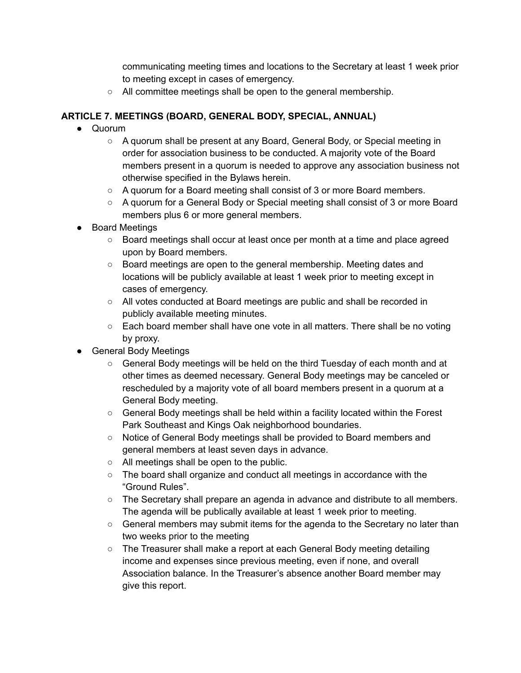communicating meeting times and locations to the Secretary at least 1 week prior to meeting except in cases of emergency.

○ All committee meetings shall be open to the general membership.

## **ARTICLE 7. MEETINGS (BOARD, GENERAL BODY, SPECIAL, ANNUAL)**

- Quorum
	- A quorum shall be present at any Board, General Body, or Special meeting in order for association business to be conducted. A majority vote of the Board members present in a quorum is needed to approve any association business not otherwise specified in the Bylaws herein.
	- A quorum for a Board meeting shall consist of 3 or more Board members.
	- A quorum for a General Body or Special meeting shall consist of 3 or more Board members plus 6 or more general members.
- **Board Meetings** 
	- Board meetings shall occur at least once per month at a time and place agreed upon by Board members.
	- Board meetings are open to the general membership. Meeting dates and locations will be publicly available at least 1 week prior to meeting except in cases of emergency.
	- All votes conducted at Board meetings are public and shall be recorded in publicly available meeting minutes.
	- Each board member shall have one vote in all matters. There shall be no voting by proxy.
- General Body Meetings
	- General Body meetings will be held on the third Tuesday of each month and at other times as deemed necessary. General Body meetings may be canceled or rescheduled by a majority vote of all board members present in a quorum at a General Body meeting.
	- $\circ$  General Body meetings shall be held within a facility located within the Forest Park Southeast and Kings Oak neighborhood boundaries.
	- Notice of General Body meetings shall be provided to Board members and general members at least seven days in advance.
	- All meetings shall be open to the public.
	- $\circ$  The board shall organize and conduct all meetings in accordance with the "Ground Rules".
	- The Secretary shall prepare an agenda in advance and distribute to all members. The agenda will be publically available at least 1 week prior to meeting.
	- General members may submit items for the agenda to the Secretary no later than two weeks prior to the meeting
	- The Treasurer shall make a report at each General Body meeting detailing income and expenses since previous meeting, even if none, and overall Association balance. In the Treasurer's absence another Board member may give this report.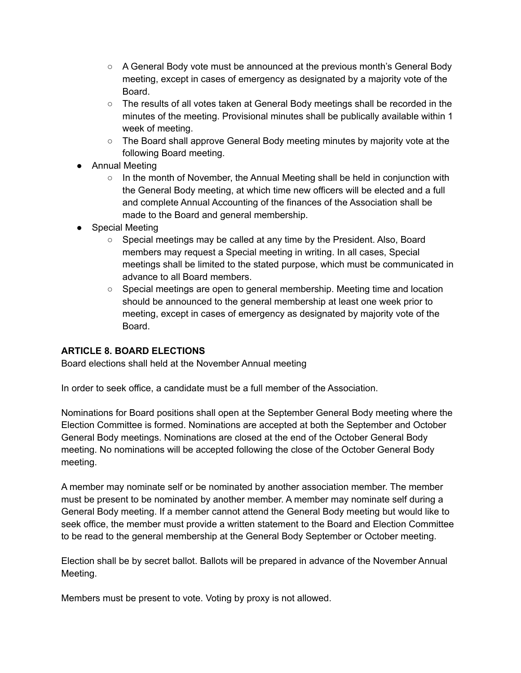- A General Body vote must be announced at the previous month's General Body meeting, except in cases of emergency as designated by a majority vote of the Board.
- The results of all votes taken at General Body meetings shall be recorded in the minutes of the meeting. Provisional minutes shall be publically available within 1 week of meeting.
- The Board shall approve General Body meeting minutes by majority vote at the following Board meeting.
- Annual Meeting
	- $\circ$  In the month of November, the Annual Meeting shall be held in conjunction with the General Body meeting, at which time new officers will be elected and a full and complete Annual Accounting of the finances of the Association shall be made to the Board and general membership.
- Special Meeting
	- Special meetings may be called at any time by the President. Also, Board members may request a Special meeting in writing. In all cases, Special meetings shall be limited to the stated purpose, which must be communicated in advance to all Board members.
	- $\circ$  Special meetings are open to general membership. Meeting time and location should be announced to the general membership at least one week prior to meeting, except in cases of emergency as designated by majority vote of the Board.

### **ARTICLE 8. BOARD ELECTIONS**

Board elections shall held at the November Annual meeting

In order to seek office, a candidate must be a full member of the Association.

Nominations for Board positions shall open at the September General Body meeting where the Election Committee is formed. Nominations are accepted at both the September and October General Body meetings. Nominations are closed at the end of the October General Body meeting. No nominations will be accepted following the close of the October General Body meeting.

A member may nominate self or be nominated by another association member. The member must be present to be nominated by another member. A member may nominate self during a General Body meeting. If a member cannot attend the General Body meeting but would like to seek office, the member must provide a written statement to the Board and Election Committee to be read to the general membership at the General Body September or October meeting.

Election shall be by secret ballot. Ballots will be prepared in advance of the November Annual Meeting.

Members must be present to vote. Voting by proxy is not allowed.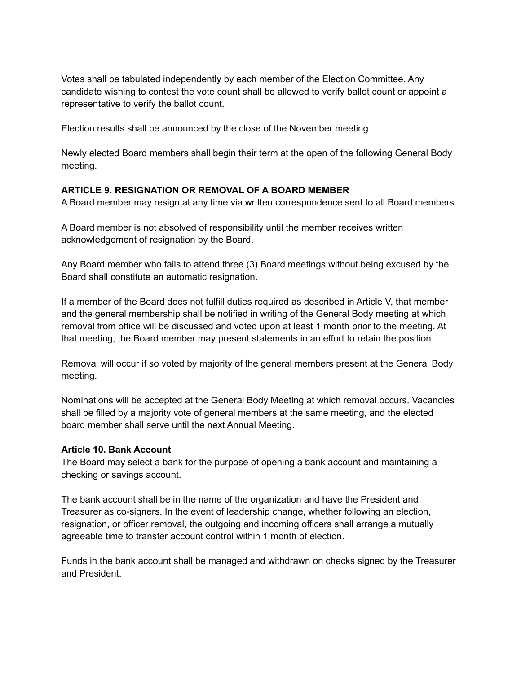Votes shall be tabulated independently by each member of the Election Committee. Any candidate wishing to contest the vote count shall be allowed to verify ballot count or appoint a representative to verify the ballot count.

Election results shall be announced by the close of the November meeting.

Newly elected Board members shall begin their term at the open of the following General Body meeting.

#### **ARTICLE 9. RESIGNATION OR REMOVAL OF A BOARD MEMBER**

A Board member may resign at any time via written correspondence sent to all Board members.

A Board member is not absolved of responsibility until the member receives written acknowledgement of resignation by the Board.

Any Board member who fails to attend three (3) Board meetings without being excused by the Board shall constitute an automatic resignation.

If a member of the Board does not fulfill duties required as described in Article V, that member and the general membership shall be notified in writing of the General Body meeting at which removal from office will be discussed and voted upon at least 1 month prior to the meeting. At that meeting, the Board member may present statements in an effort to retain the position.

Removal will occur if so voted by majority of the general members present at the General Body meeting.

Nominations will be accepted at the General Body Meeting at which removal occurs. Vacancies shall be filled by a majority vote of general members at the same meeting, and the elected board member shall serve until the next Annual Meeting.

#### **Article 10. Bank Account**

The Board may select a bank for the purpose of opening a bank account and maintaining a checking or savings account.

The bank account shall be in the name of the organization and have the President and Treasurer as co-signers. In the event of leadership change, whether following an election, resignation, or officer removal, the outgoing and incoming officers shall arrange a mutually agreeable time to transfer account control within 1 month of election.

Funds in the bank account shall be managed and withdrawn on checks signed by the Treasurer and President.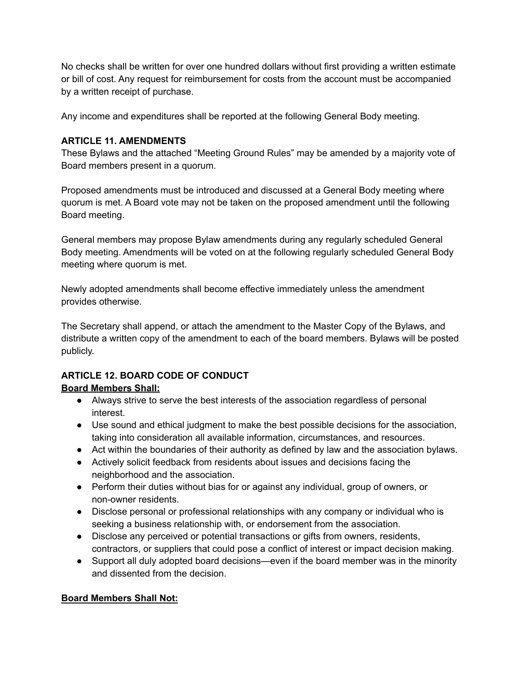No checks shall be written for over one hundred dollars without first providing a written estimate or bill of cost. Any request for reimbursement for costs from the account must be accompanied by a written receipt of purchase.

Any income and expenditures shall be reported at the following General Body meeting.

## **ARTICLE 11. AMENDMENTS**

These Bylaws and the attached "Meeting Ground Rules" may be amended by a majority vote of Board members present in a quorum.

Proposed amendments must be introduced and discussed at a General Body meeting where quorum is met. A Board vote may not be taken on the proposed amendment until the following Board meeting.

General members may propose Bylaw amendments during any regularly scheduled General Body meeting. Amendments will be voted on at the following regularly scheduled General Body meeting where quorum is met.

Newly adopted amendments shall become effective immediately unless the amendment provides otherwise.

The Secretary shall append, or attach the amendment to the Master Copy of the Bylaws, and distribute a written copy of the amendment to each of the board members. Bylaws will be posted publicly.

## **ARTICLE 12. BOARD CODE OF CONDUCT Board Members Shall:**

- Always strive to serve the best interests of the association regardless of personal interest.
- Use sound and ethical judgment to make the best possible decisions for the association, taking into consideration all available information, circumstances, and resources.
- Act within the boundaries of their authority as defined by law and the association bylaws.
- Actively solicit feedback from residents about issues and decisions facing the neighborhood and the association.
- Perform their duties without bias for or against any individual, group of owners, or non-owner residents.
- Disclose personal or professional relationships with any company or individual who is seeking a business relationship with, or endorsement from the association.
- Disclose any perceived or potential transactions or gifts from owners, residents, contractors, or suppliers that could pose a conflict of interest or impact decision making.
- Support all duly adopted board decisions—even if the board member was in the minority and dissented from the decision.

## **Board Members Shall Not:**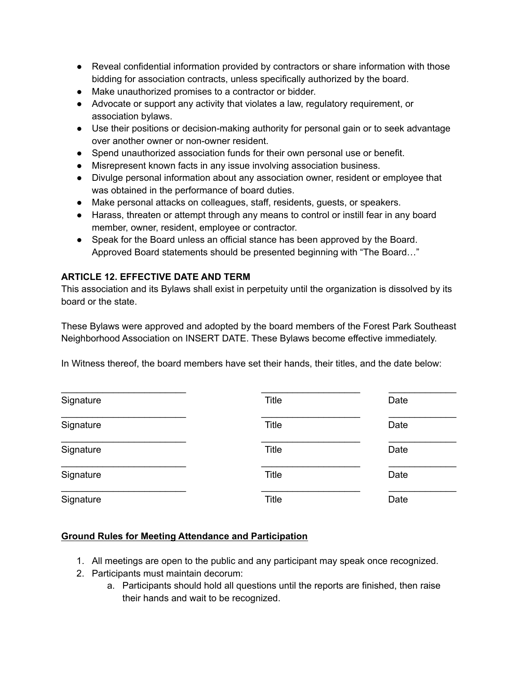- Reveal confidential information provided by contractors or share information with those bidding for association contracts, unless specifically authorized by the board.
- Make unauthorized promises to a contractor or bidder.
- Advocate or support any activity that violates a law, regulatory requirement, or association bylaws.
- Use their positions or decision-making authority for personal gain or to seek advantage over another owner or non-owner resident.
- Spend unauthorized association funds for their own personal use or benefit.
- Misrepresent known facts in any issue involving association business.
- Divulge personal information about any association owner, resident or employee that was obtained in the performance of board duties.
- Make personal attacks on colleagues, staff, residents, guests, or speakers.
- Harass, threaten or attempt through any means to control or instill fear in any board member, owner, resident, employee or contractor.
- Speak for the Board unless an official stance has been approved by the Board. Approved Board statements should be presented beginning with "The Board…"

## **ARTICLE 12. EFFECTIVE DATE AND TERM**

This association and its Bylaws shall exist in perpetuity until the organization is dissolved by its board or the state.

These Bylaws were approved and adopted by the board members of the Forest Park Southeast Neighborhood Association on INSERT DATE. These Bylaws become effective immediately.

In Witness thereof, the board members have set their hands, their titles, and the date below:

| Signature | <b>Title</b> | Date |
|-----------|--------------|------|
| Signature | <b>Title</b> | Date |
| Signature | <b>Title</b> | Date |
| Signature | <b>Title</b> | Date |
| Signature | Title        | Date |

### **Ground Rules for Meeting Attendance and Participation**

- 1. All meetings are open to the public and any participant may speak once recognized.
- 2. Participants must maintain decorum:
	- a. Participants should hold all questions until the reports are finished, then raise their hands and wait to be recognized.